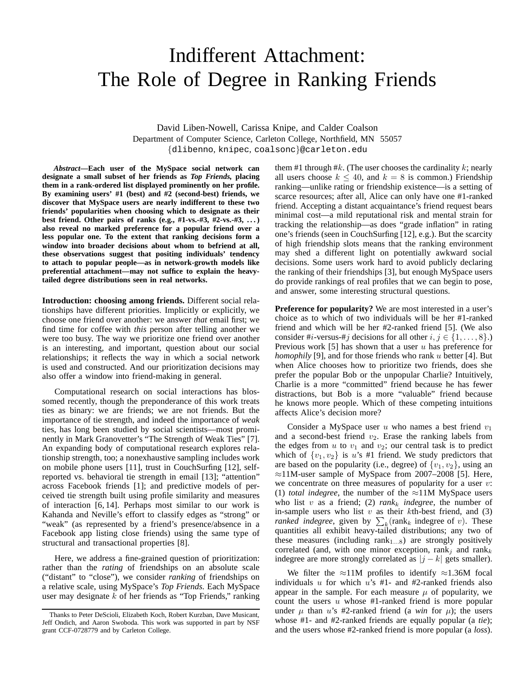## Indifferent Attachment: The Role of Degree in Ranking Friends

David Liben-Nowell, Carissa Knipe, and Calder Coalson Department of Computer Science, Carleton College, Northfield, MN 55057 {dlibenno, knipec, coalsonc}@carleton.edu

*Abstract***—Each user of the MySpace social network can designate a small subset of her friends as** *Top Friends,* **placing them in a rank-ordered list displayed prominently on her profile. By examining users' #1 (best) and #2 (second-best) friends, we discover that MySpace users are nearly indifferent to these two friends' popularities when choosing which to designate as their best friend. Other pairs of ranks (e.g., #1-vs.-#3, #2-vs.-#3, . . . ) also reveal no marked preference for a popular friend over a less popular one. To the extent that ranking decisions form a window into broader decisions about whom to befriend at all, these observations suggest that positing individuals' tendency to attach to popular people—as in network-growth models like preferential attachment—may not suffice to explain the heavytailed degree distributions seen in real networks.**

**Introduction: choosing among friends.** Different social relationships have different priorities. Implicitly or explicitly, we choose one friend over another: we answer *that* email first; we find time for coffee with *this* person after telling another we were too busy. The way we prioritize one friend over another is an interesting, and important, question about our social relationships; it reflects the way in which a social network is used and constructed. And our prioritization decisions may also offer a window into friend-making in general.

Computational research on social interactions has blossomed recently, though the preponderance of this work treats ties as binary: we are friends; we are not friends. But the importance of tie strength, and indeed the importance of *weak* ties, has long been studied by social scientists—most prominently in Mark Granovetter's "The Strength of Weak Ties" [7]. An expanding body of computational research explores relationship strength, too; a nonexhaustive sampling includes work on mobile phone users [11], trust in CouchSurfing [12], selfreported vs. behavioral tie strength in email [13]; "attention" across Facebook friends [1]; and predictive models of perceived tie strength built using profile similarity and measures of interaction [6, 14]. Perhaps most similar to our work is Kahanda and Neville's effort to classify edges as "strong" or "weak" (as represented by a friend's presence/absence in a Facebook app listing close friends) using the same type of structural and transactional properties [8].

Here, we address a fine-grained question of prioritization: rather than the *rating* of friendships on an absolute scale ("distant" to "close"), we consider *ranking* of friendships on a relative scale, using MySpace's *Top Friends.* Each MySpace user may designate  $k$  of her friends as "Top Friends," ranking them #1 through #k. (The user chooses the cardinality k; nearly all users choose  $k \leq 40$ , and  $k = 8$  is common.) Friendship ranking—unlike rating or friendship existence—is a setting of scarce resources; after all, Alice can only have one #1-ranked friend. Accepting a distant acquaintance's friend request bears minimal cost—a mild reputational risk and mental strain for tracking the relationship—as does "grade inflation" in rating one's friends (seen in CouchSurfing [12], e.g.). But the scarcity of high friendship slots means that the ranking environment may shed a different light on potentially awkward social decisions. Some users work hard to avoid publicly declaring the ranking of their friendships [3], but enough MySpace users do provide rankings of real profiles that we can begin to pose, and answer, some interesting structural questions.

**Preference for popularity?** We are most interested in a user's choice as to which of two individuals will be her #1-ranked friend and which will be her #2-ranked friend [5]. (We also consider #*i*-versus-#*j* decisions for all other  $i, j \in \{1, ..., 8\}$ .) Previous work  $[5]$  has shown that a user u has preference for *homophily* [9], and for those friends who rank u better [4]. But when Alice chooses how to prioritize two friends, does she prefer the popular Bob or the unpopular Charlie? Intuitively, Charlie is a more "committed" friend because he has fewer distractions, but Bob is a more "valuable" friend because he knows more people. Which of these competing intuitions affects Alice's decision more?

Consider a MySpace user  $u$  who names a best friend  $v_1$ and a second-best friend  $v_2$ . Erase the ranking labels from the edges from  $u$  to  $v_1$  and  $v_2$ ; our central task is to predict which of  $\{v_1, v_2\}$  is u's #1 friend. We study predictors that are based on the popularity (i.e., degree) of  $\{v_1, v_2\}$ , using an ≈11M-user sample of MySpace from 2007–2008 [5]. Here, we concentrate on three measures of popularity for a user  $v$ : (1) *total indegree*, the number of the  $\approx$ 11M MySpace users who list v as a friend; (2)  $rank_k$  *indegree*, the number of in-sample users who list  $v$  as their  $k$ th-best friend, and (3) *ranked indegree*, given by  $\sum_{k}$  (rank<sub>k</sub> indegree of v). These quantities all exhibit heavy-tailed distributions; any two of these measures (including  $rank_{1...8}$ ) are strongly positively correlated (and, with one minor exception,  $\text{rank}_j$  and  $\text{rank}_k$ indegree are more strongly correlated as  $|j - k|$  gets smaller).

We filter the  $\approx$ 11M profiles to identify  $\approx$ 1.36M focal individuals  $u$  for which  $u$ 's #1- and #2-ranked friends also appear in the sample. For each measure  $\mu$  of popularity, we count the users  $u$  whose #1-ranked friend is more popular under  $\mu$  than u's #2-ranked friend (a *win* for  $\mu$ ); the users whose #1- and #2-ranked friends are equally popular (a *tie*); and the users whose #2-ranked friend is more popular (a *loss*).

Thanks to Peter DeScioli, Elizabeth Koch, Robert Kurzban, Dave Musicant, Jeff Ondich, and Aaron Swoboda. This work was supported in part by NSF grant CCF-0728779 and by Carleton College.